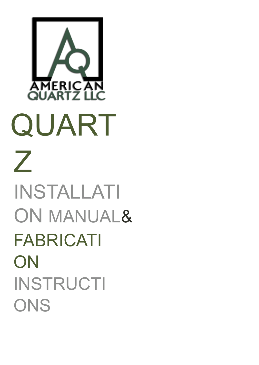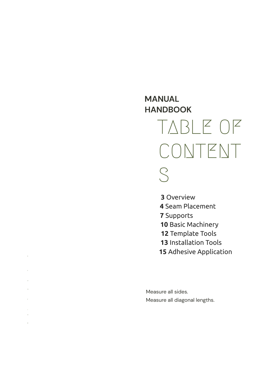# **MANUAL**  $H$ **ANDBOOK** T A B L E O F CONTENT S

**3** Overview

- 4 Seam Placement
- **7** Supports
- 10 Basic Machinery
- 12 Template Tools
- 13 Installation Tools
- **15** Adhesive Application

Measure all sides. Measure all diagonal lengths.

OVERVIEW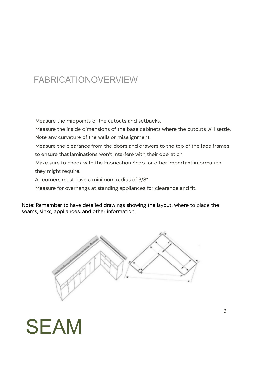## FABRICATIONOVERVIEW

Measure the midpoints of the cutouts and setbacks.

Measure the inside dimensions of the base cabinets where the cutouts will settle. Note any curvature of the walls or misalignment.

Measure the clearance from the doors and drawers to the top of the face frames to ensure that laminations won't interfere with their operation.

Make sure to check with the Fabrication Shop for other important information they might require.

All corners must have a minimum radius of 3/8".

Measure for overhangs at standing appliances for clearance and fit.

Note: Remember to have detailed drawings showing the layout, where to place the seams, sinks, appliances, and other information.



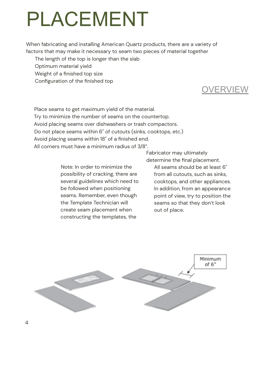# PLACEMENT

When fabricating and installing American Quartz products, there are a variety of factors that may make it necessary to seam two pieces of material together

The length of the top is longer than the slab

Optimum material yield

Weight of a finished top size

Configuration of the finished top

### **OVERVIEW**

Place seams to get maximum yield of the material. Try to minimize the number of seams on the countertop. Avoid placing seams over dishwashers or trash compactors. Do not place seams within 6" of cutouts (sinks, cooktops, etc.) Avoid placing seams within 18" of a finished end. All corners must have a minimum radius of 3/8".

> Note: In order to minimize the possibility of cracking, there are several guidelines which need to be followed when positioning seams. Remember, even though the Template Technician will create seam placement when constructing the templates, the

Fabricator may ultimately determine the final placement.

All seams should be at least 6" from all cutouts, such as sinks, cooktops, and other appliances. In addition, from an appearance point of view, try to position the seams so that they don't look out of place.

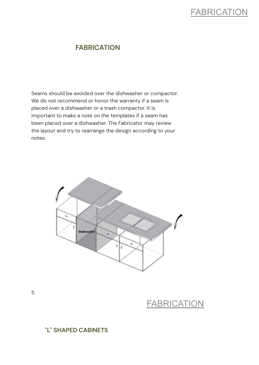### **FABRICATION**

#### **FABRICATION**

Seams should be avoided over the dishwasher or compactor. We do not recommend or honor the warranty if a seam is placed over a dishwasher or a trash compactor. It is important to make a note on the templates if a seam has been placed over a dishwasher. The Fabricator may review the layout and try to rearrange the design according to your notes.



### **FABRICATION**

#### **"L" SHAPED CABINETS**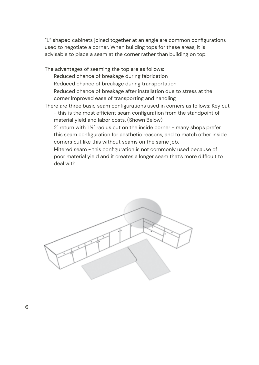"L" shaped cabinets joined together at an angle are common configurations used to negotiate a corner. When building tops for these areas, it is advisable to place a seam at the corner rather than building on top.

The advantages of seaming the top are as follows: Reduced chance of breakage during fabrication Reduced chance of breakage during transportation Reduced chance of breakage after installation due to stress at the corner Improved ease of transporting and handling

There are three basic seam configurations used in corners as follows: Key cut - this is the most efficient seam configuration from the standpoint of material yield and labor costs. (Shown Below)

 $2"$  return with  $1\frac{1}{2}"$  radius cut on the inside corner - many shops prefer this seam configuration for aesthetic reasons, and to match other inside corners cut like this without seams on the same job.

Mitered seam - this configuration is not commonly used because of poor material yield and it creates a longer seam that's more difficult to deal with.

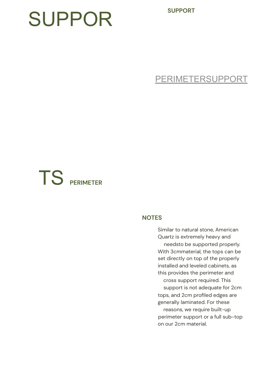**SUPPORT**

# SUPPOR

PERIMETERSUPPORT

# TS **PERIMETER**

#### **NOTES**

Similar to natural stone, American Quartz is extremely heavy and needsto be supported properly. With 3cmmaterial, the tops can be set directly on top of the properly installed and leveled cabinets, as this provides the perimeter and cross support required. This support is not adequate for 2cm tops, and 2cm profiled edges are generally laminated. For these reasons, we require built-up perimeter support or a full sub-top

on our 2cm material.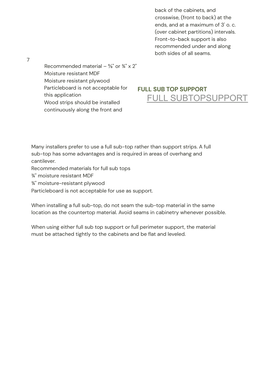back of the cabinets, and crosswise, (front to back) at the ends, and at a maximum of 3' o. c. (over cabinet partitions) intervals. Front-to-back support is also recommended under and along both sides of all seams.

Recommended material –  $\frac{5}{8}$ " or  $\frac{3}{4}$ " x 2" Moisture resistant MDF Moisture resistant plywood Particleboard is not acceptable for this application Wood strips should be installed continuously along the front and

#### **FULL SUB TOP SUPPORT** FULL SUBTOPSUPPORT

Many installers prefer to use a full sub-top rather than support strips. A full sub-top has some advantages and is required in areas of overhang and cantilever.

Recommended materials for full sub tops

¾" moisture resistant MDF

¾" moisture-resistant plywood

Particleboard is not acceptable for use as support.

When installing a full sub-top, do not seam the sub-top material in the same location as the countertop material. Avoid seams in cabinetry whenever possible.

When using either full sub top support or full perimeter support, the material must be attached tightly to the cabinets and be flat and leveled.

7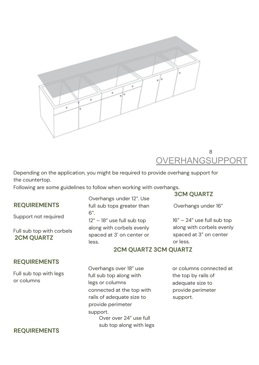

#### 8 OVERHANGSUPPORT

Depending on the application, you might be required to provide overhang support for the countertop.

Following are some guidelines to follow when working with overhangs.

#### **REQUIREMENTS**

Support not required

Full sub top with corbels **2CM QUARTZ**

#### Overhangs under 12". Use full sub tops greater than 6". 12" – 18" use full sub top along with corbels evenly spaced at 3' on center or less.

#### **3CM QUARTZ**

Overhangs under 16"

16" – 24" use full sub top along with corbels evenly spaced at 3" on center or less.

#### **REQUIREMENTS**

Full sub top with legs or columns

#### **REQUIREMENTS**

**2CM QUARTZ 3CM QUARTZ**

Overhangs over 18" use full sub top along with legs or columns connected at the top with rails of adequate size to provide perimeter support. Over over 24" use full sub top along with legs or columns connected at the top by rails of adequate size to provide perimeter support.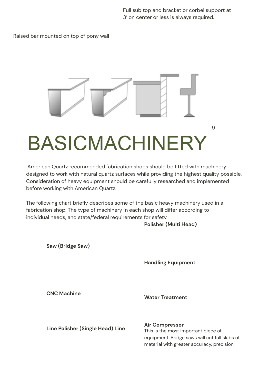Full sub top and bracket or corbel support at 3' on center or less is always required.

Raised bar mounted on top of pony wall



American Quartz recommended fabrication shops should be fitted with machinery designed to work with natural quartz surfaces while providing the highest quality possible. Consideration of heavy equipment should be carefully researched and implemented before working with American Quartz.

The following chart briefly describes some of the basic heavy machinery used in a fabrication shop. The type of machinery in each shop will differ according to individual needs, and state/federal requirements for safety.

**Polisher (Multi Head)**

**Saw (Bridge Saw)**

**Handling Equipment**

**CNC Machine**

**Water Treatment**

**Line Polisher (Single Head) Line**

**Air Compressor** This is the most important piece of equipment. Bridge saws will cut full slabs of material with greater accuracy, precision,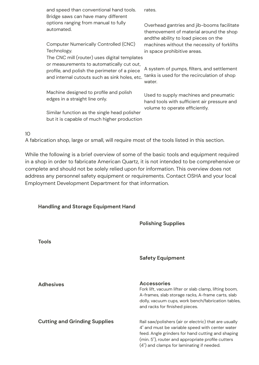|    | and speed than conventional hand tools.<br>Bridge saws can have many different                                                                                                             | rates.                                                                                                                        |
|----|--------------------------------------------------------------------------------------------------------------------------------------------------------------------------------------------|-------------------------------------------------------------------------------------------------------------------------------|
|    | options ranging from manual to fully<br>automated.                                                                                                                                         | Overhead gantries and jib-booms facilitate<br>themovement of material around the shop<br>andthe ability to load pieces on the |
|    | <b>Computer Numerically Controlled (CNC)</b><br>Technology.                                                                                                                                | machines without the necessity of forklifts<br>in space prohibitive areas.                                                    |
|    | The CNC mill (router) uses digital templates<br>or measurements to automatically cut out,<br>profile, and polish the perimeter of a piece<br>and internal cutouts such as sink holes, etc. | A system of pumps, filters, and settlement<br>tanks is used for the recirculation of shop<br>water.                           |
|    | Machine designed to profile and polish<br>edges in a straight line only.                                                                                                                   | Used to supply machines and pneumatic<br>hand tools with sufficient air pressure and<br>volume to operate efficiently.        |
|    | Similar function as the single head polisher<br>but it is capable of much higher production                                                                                                |                                                                                                                               |
| 10 |                                                                                                                                                                                            |                                                                                                                               |

A fabrication shop, large or small, will require most of the tools listed in this section.

While the following is a brief overview of some of the basic tools and equipment required in a shop in order to fabricate American Quartz, it is not intended to be comprehensive or complete and should not be solely relied upon for information. This overview does not address any personnel safety equipment or requirements. Contact OSHA and your local Employment Development Department for that information.

#### **Handling and Storage Equipment Hand**

|                                      | <b>Polishing Supplies</b>                                                                                                                                                                                                                                       |
|--------------------------------------|-----------------------------------------------------------------------------------------------------------------------------------------------------------------------------------------------------------------------------------------------------------------|
| <b>Tools</b>                         |                                                                                                                                                                                                                                                                 |
|                                      | <b>Safety Equipment</b>                                                                                                                                                                                                                                         |
| <b>Adhesives</b>                     | <b>Accessories</b><br>Fork lift, vacuum lifter or slab clamp, lifting boom,<br>A-frames, slab storage racks, A-frame carts, slab<br>dolly, vacuum cups, work bench/fabrication tables,<br>and racks for finished pieces.                                        |
| <b>Cutting and Grinding Supplies</b> | Rail saw/polishers (air or electric) that are usually<br>4" and must be variable speed with center water<br>feed. Angle grinders for hand cutting and shaping<br>(min. 5"), router and appropriate profile cutters<br>(4") and clamps for laminating if needed. |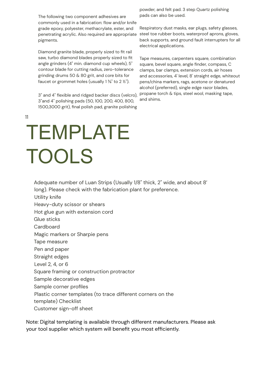The following two component adhesives are commonly used in a fabrication: flow and/or knife grade epoxy, polyester, methacrylate, ester, and penetrating acrylic. Also required are appropriate pigments.

Diamond granite blade, properly sized to fit rail saw, turbo diamond blades properly sized to fit angle grinders (4" min. diamond cup wheels), 5" contour blade for cutting radius, zero-tolerance grinding drums 50 & 80 grit, and core bits for faucet or grommet holes (usually  $1\frac{3}{8}$ " to  $2\frac{1}{2}$ ").

3" and 4" flexible and ridged backer discs (velcro), 3"and 4" polishing pads (50, 100, 200, 400, 800, 1500,3000 grit), final polish pad, granite polishing

powder, and felt pad. 3 step Quartz polishing pads can also be used.

Respiratory dust masks, ear plugs, safety glasses, steel toe rubber boots, waterproof aprons, gloves, back supports, and ground fault interrupters for all electrical applications.

Tape measures, carpenters square, combination square, bevel square, angle finder, compass, C clamps, bar clamps, extension cords, air hoses and accessories, 4' level, 8' straight edge, whiteout pens/china markers, rags, acetone or denatured alcohol (preferred), single edge razor blades, propane torch & tips, steel wool, masking tape, and shims.

11

# TEMPLATE TOOLS

Adequate number of Luan Strips (Usually 1/8" thick, 2" wide, and about 8' long). Please check with the fabrication plant for preference.

Utility knife

Heavy-duty scissor or shears

Hot glue gun with extension cord

Glue sticks

Cardboard

Magic markers or Sharpie pens

Tape measure

Pen and paper

Straight edges

Level 2, 4, or 6

Square framing or construction protractor

Sample decorative edges

Sample corner profiles

Plastic corner templates (to trace different corners on the

template) Checklist

Customer sign-off sheet

Note: Digital templating is available through different manufacturers. Please ask your tool supplier which system will benefit you most efficiently.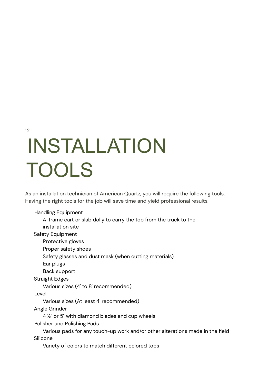12

# INSTALLATION TOOLS

As an installation technician of American Quartz, you will require the following tools. Having the right tools for the job will save time and yield professional results.

Handling Equipment

A-frame cart or slab dolly to carry the top from the truck to the installation site

Safety Equipment

Protective gloves

Proper safety shoes

Safety glasses and dust mask (when cutting materials)

Ear plugs

Back support

Straight Edges

Various sizes (4' to 8' recommended)

Level

Various sizes (At least 4' recommended)

Angle Grinder

4 ½" or 5" with diamond blades and cup wheels

Polisher and Polishing Pads

Various pads for any touch-up work and/or other alterations made in the field Silicone

Variety of colors to match different colored tops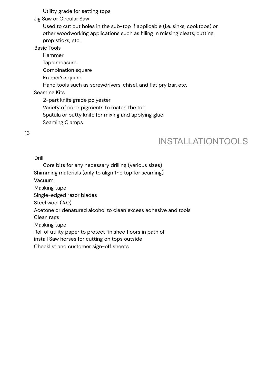Utility grade for setting tops

Jig Saw or Circular Saw

Used to cut out holes in the sub-top if applicable (i.e. sinks, cooktops) or other woodworking applications such as filling in missing cleats, cutting prop sticks, etc.

Basic Tools

Hammer Tape measure Combination square Framer's square Hand tools such as screwdrivers, chisel, and flat pry bar, etc. Seaming Kits 2-part knife grade polyester Variety of color pigments to match the top

Spatula or putty knife for mixing and applying glue

Seaming Clamps

13

### INSTALLATIONTOOLS

Drill

Core bits for any necessary drilling (various sizes)

Shimming materials (only to align the top for seaming)

Vacuum

Masking tape

Single-edged razor blades

Steel wool (#0)

Acetone or denatured alcohol to clean excess adhesive and tools

Clean rags

Masking tape

Roll of utility paper to protect finished floors in path of

install Saw horses for cutting on tops outside

Checklist and customer sign-off sheets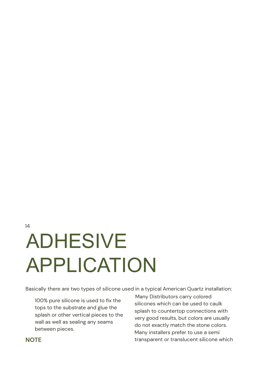# 14 ADHESIVE APPLICATION

Basically there are two types of silicone used in a typical American Quartz installation:

100% pure silicone is used to fix the tops to the substrate and glue the splash or other vertical pieces to the wall as well as sealing any seams between pieces.

Many Distributors carry colored silicones which can be used to caulk splash to countertop connections with very good results, but colors are usually do not exactly match the stone colors. Many installers prefer to use a semi transparent or translucent silicone which

#### **NOTE**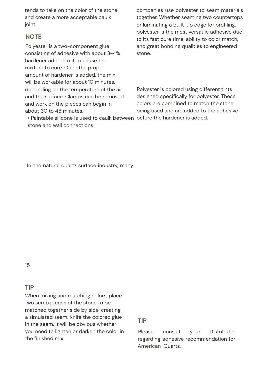tends to take on the color of the stone and create a more acceptable caulk joint.

#### **NOTE**

Polyester is a two-component glue consisting of adhesive with about 3-4% hardener added to it to cause the mixture to cure. Once the proper amount of hardener is added, the mix will be workable for about 10 minutes. depending on the temperature of the air and the surface. Clamps can be removed and work on the pieces can begin in about 30 to 45 minutes.

• Paintable silicone is used to caulk between before the hardener is added. stone and wall connections

companies use polyester to seam materials together. Whether seaming two countertops or laminating a built-up edge for profiling, polyester is the most versatile adhesive due to its fast cure time, ability to color match, and great bonding qualities to engineered stone.

Polyester is colored using different tints designed specifically for polyester. These colors are combined to match the stone being used and are added to the adhesive

In the natural quartz surface industry, many

15

#### **TIP**

When mixing and matching colors, place two scrap pieces of the stone to be matched together side by side, creating a simulated seam. Knife the colored glue in the seam. It will be obvious whether you need to lighten or darken the color in the finished mix.

#### **TIP**

Please consult your Distributor regarding adhesive recommendation for American Quartz.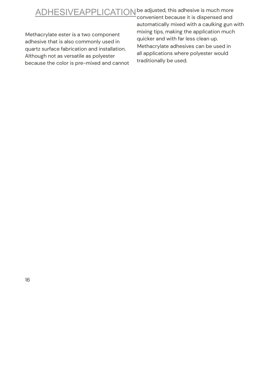## ADHESIVEAPPLICATION be adjusted, this adhesive is much more

Methacrylate ester is a two component adhesive that is also commonly used in quartz surface fabrication and installation. Although not as versatile as polyester because the color is pre-mixed and cannot

convenient because it is dispensed and automatically mixed with a caulking gun with mixing tips, making the application much quicker and with far less clean up. Methacrylate adhesives can be used in all applications where polyester would traditionally be used.